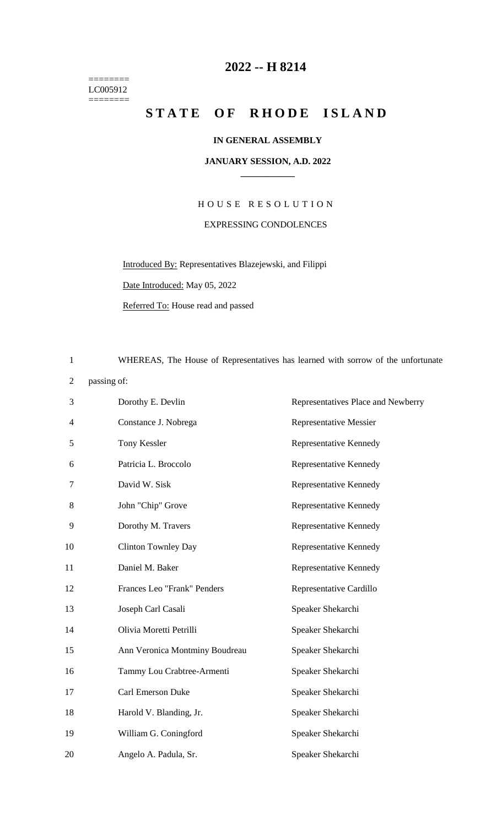======== LC005912  $=$ 

## **-- H 8214**

## STATE OF RHODE ISLAND

## **IN GENERAL ASSEMBLY**

## **JANUARY SESSION, A.D. 2022 \_\_\_\_\_\_\_\_\_\_\_\_**

H O U S E R E S O L U T I O N EXPRESSING CONDOLENCES

Introduced By: Representatives Blazejewski, and Filippi

Date Introduced: May 05, 2022

Referred To: House read and passed

WHEREAS, The House of Representatives has learned with sorrow of the unfortunate

passing of:

| 3  | Dorothy E. Devlin              | Representatives Place and Newberry |
|----|--------------------------------|------------------------------------|
| 4  | Constance J. Nobrega           | <b>Representative Messier</b>      |
| 5  | Tony Kessler                   | Representative Kennedy             |
| 6  | Patricia L. Broccolo           | Representative Kennedy             |
| 7  | David W. Sisk                  | Representative Kennedy             |
| 8  | John "Chip" Grove              | Representative Kennedy             |
| 9  | Dorothy M. Travers             | Representative Kennedy             |
| 10 | <b>Clinton Townley Day</b>     | Representative Kennedy             |
| 11 | Daniel M. Baker                | Representative Kennedy             |
| 12 | Frances Leo "Frank" Penders    | Representative Cardillo            |
| 13 | Joseph Carl Casali             | Speaker Shekarchi                  |
| 14 | Olivia Moretti Petrilli        | Speaker Shekarchi                  |
| 15 | Ann Veronica Montminy Boudreau | Speaker Shekarchi                  |
| 16 | Tammy Lou Crabtree-Armenti     | Speaker Shekarchi                  |
| 17 | Carl Emerson Duke              | Speaker Shekarchi                  |
| 18 | Harold V. Blanding, Jr.        | Speaker Shekarchi                  |
| 19 | William G. Coningford          | Speaker Shekarchi                  |
| 20 | Angelo A. Padula, Sr.          | Speaker Shekarchi                  |